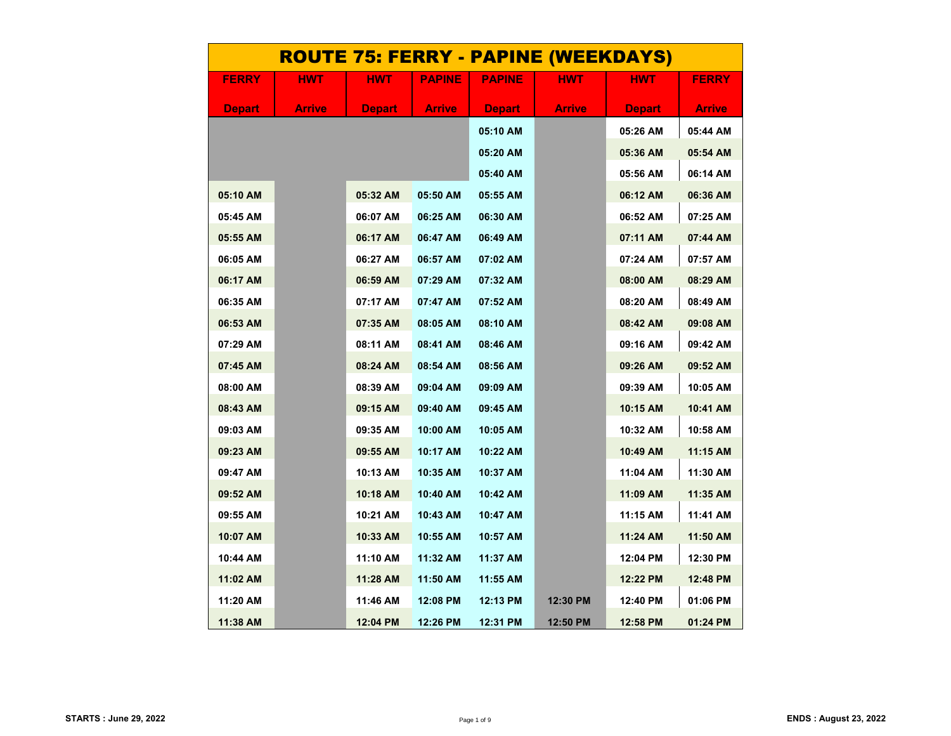| <u>ROUTE 75: FERRY - PAPINE (WEEKDAYS)</u> |               |               |               |               |               |               |              |  |  |  |
|--------------------------------------------|---------------|---------------|---------------|---------------|---------------|---------------|--------------|--|--|--|
| <b>FERRY</b>                               | <b>HWT</b>    | HWT           | <b>PAPINE</b> | <b>PAPINE</b> | HWT           | HWT           | <b>FERRY</b> |  |  |  |
| <b>Depart</b>                              | <b>Arrive</b> | <b>Depart</b> | Arrive        | <b>Depart</b> | <b>Arrive</b> | <b>Depart</b> | Arrive       |  |  |  |
|                                            |               |               |               | 05:10 AM      |               | 05:26 AM      | 05:44 AM     |  |  |  |
|                                            |               |               |               | 05:20 AM      |               | 05:36 AM      | 05:54 AM     |  |  |  |
|                                            |               |               |               | 05:40 AM      |               | 05:56 AM      | 06:14 AM     |  |  |  |
| 05:10 AM                                   |               | 05:32 AM      | 05:50 AM      | 05:55 AM      |               | 06:12 AM      | 06:36 AM     |  |  |  |
| 05:45 AM                                   |               | 06:07 AM      | 06:25 AM      | 06:30 AM      |               | 06:52 AM      | 07:25 AM     |  |  |  |
| 05:55 AM                                   |               | 06:17 AM      | 06:47 AM      | 06:49 AM      |               | 07:11 AM      | 07:44 AM     |  |  |  |
| 06:05 AM                                   |               | 06:27 AM      | 06:57 AM      | 07:02 AM      |               | 07:24 AM      | 07:57 AM     |  |  |  |
| 06:17 AM                                   |               | 06:59 AM      | 07:29 AM      | 07:32 AM      |               | 08:00 AM      | 08:29 AM     |  |  |  |
| 06:35 AM                                   |               | 07:17 AM      | 07:47 AM      | 07:52 AM      |               | 08:20 AM      | 08:49 AM     |  |  |  |
| 06:53 AM                                   |               | 07:35 AM      | 08:05 AM      | 08:10 AM      |               | 08:42 AM      | 09:08 AM     |  |  |  |
| 07:29 AM                                   |               | 08:11 AM      | 08:41 AM      | 08:46 AM      |               | 09:16 AM      | 09:42 AM     |  |  |  |
| 07:45 AM                                   |               | 08:24 AM      | 08:54 AM      | 08:56 AM      |               | 09:26 AM      | 09:52 AM     |  |  |  |
| 08:00 AM                                   |               | 08:39 AM      | 09:04 AM      | 09:09 AM      |               | 09:39 AM      | 10:05 AM     |  |  |  |
| 08:43 AM                                   |               | 09:15 AM      | 09:40 AM      | 09:45 AM      |               | 10:15 AM      | 10:41 AM     |  |  |  |
| 09:03 AM                                   |               | 09:35 AM      | 10:00 AM      | 10:05 AM      |               | 10:32 AM      | 10:58 AM     |  |  |  |
| 09:23 AM                                   |               | 09:55 AM      | 10:17 AM      | 10:22 AM      |               | 10:49 AM      | 11:15 AM     |  |  |  |
| 09:47 AM                                   |               | 10:13 AM      | 10:35 AM      | 10:37 AM      |               | 11:04 AM      | 11:30 AM     |  |  |  |
| 09:52 AM                                   |               | 10:18 AM      | 10:40 AM      | 10:42 AM      |               | 11:09 AM      | 11:35 AM     |  |  |  |
| 09:55 AM                                   |               | 10:21 AM      | 10:43 AM      | 10:47 AM      |               | 11:15 AM      | 11:41 AM     |  |  |  |
| 10:07 AM                                   |               | 10:33 AM      | 10:55 AM      | 10:57 AM      |               | 11:24 AM      | 11:50 AM     |  |  |  |
| 10:44 AM                                   |               | 11:10 AM      | 11:32 AM      | 11:37 AM      |               | 12:04 PM      | 12:30 PM     |  |  |  |
| 11:02 AM                                   |               | 11:28 AM      | 11:50 AM      | 11:55 AM      |               | 12:22 PM      | 12:48 PM     |  |  |  |
| 11:20 AM                                   |               | 11:46 AM      | 12:08 PM      | 12:13 PM      | 12:30 PM      | 12:40 PM      | 01:06 PM     |  |  |  |
| 11:38 AM                                   |               | 12:04 PM      | 12:26 PM      | 12:31 PM      | 12:50 PM      | 12:58 PM      | 01:24 PM     |  |  |  |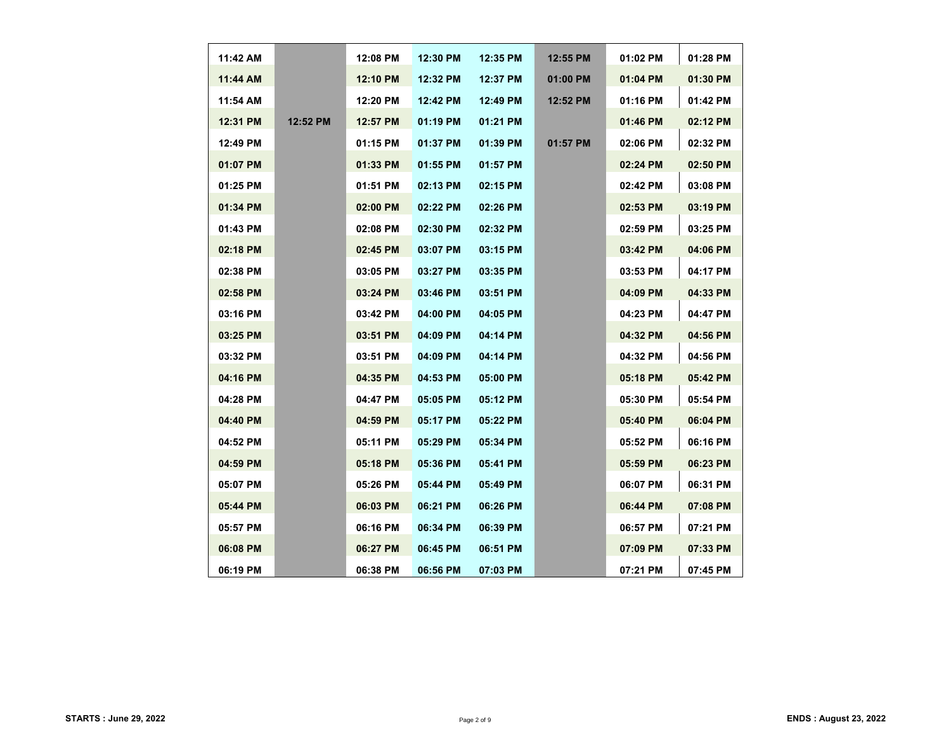| 11:42 AM   |          | 12:08 PM | 12:30 PM | 12:35 PM   | 12:55 PM | 01:02 PM | 01:28 PM |
|------------|----------|----------|----------|------------|----------|----------|----------|
| 11:44 AM   |          | 12:10 PM | 12:32 PM | 12:37 PM   | 01:00 PM | 01:04 PM | 01:30 PM |
| 11:54 AM   |          | 12:20 PM | 12:42 PM | 12:49 PM   | 12:52 PM | 01:16 PM | 01:42 PM |
| 12:31 PM   | 12:52 PM | 12:57 PM | 01:19 PM | 01:21 PM   |          | 01:46 PM | 02:12 PM |
| 12:49 PM   |          | 01:15 PM | 01:37 PM | 01:39 PM   | 01:57 PM | 02:06 PM | 02:32 PM |
| 01:07 PM   |          | 01:33 PM | 01:55 PM | $01:57$ PM |          | 02:24 PM | 02:50 PM |
| 01:25 PM   |          | 01:51 PM | 02:13 PM | 02:15 PM   |          | 02:42 PM | 03:08 PM |
| 01:34 PM   |          | 02:00 PM | 02:22 PM | 02:26 PM   |          | 02:53 PM | 03:19 PM |
| 01:43 PM   |          | 02:08 PM | 02:30 PM | $02:32$ PM |          | 02:59 PM | 03:25 PM |
| 02:18 PM   |          | 02:45 PM | 03:07 PM | 03:15 PM   |          | 03:42 PM | 04:06 PM |
| 02:38 PM   |          | 03:05 PM | 03:27 PM | 03:35 PM   |          | 03:53 PM | 04:17 PM |
| $02:58$ PM |          | 03:24 PM | 03:46 PM | $03:51$ PM |          | 04:09 PM | 04:33 PM |
| 03:16 PM   |          | 03:42 PM | 04:00 PM | 04:05 PM   |          | 04:23 PM | 04:47 PM |
| 03:25 PM   |          | 03:51 PM | 04:09 PM | 04:14 PM   |          | 04:32 PM | 04:56 PM |
| 03:32 PM   |          | 03:51 PM | 04:09 PM | 04:14 PM   |          | 04:32 PM | 04:56 PM |
| 04:16 PM   |          | 04:35 PM | 04:53 PM | 05:00 PM   |          | 05:18 PM | 05:42 PM |
| 04:28 PM   |          | 04:47 PM | 05:05 PM | 05:12 PM   |          | 05:30 PM | 05:54 PM |
| 04:40 PM   |          | 04:59 PM | 05:17 PM | 05:22 PM   |          | 05:40 PM | 06:04 PM |
| 04:52 PM   |          | 05:11 PM | 05:29 PM | 05:34 PM   |          | 05:52 PM | 06:16 PM |
| 04:59 PM   |          | 05:18 PM | 05:36 PM | 05:41 PM   |          | 05:59 PM | 06:23 PM |
| 05:07 PM   |          | 05:26 PM | 05:44 PM | 05:49 PM   |          | 06:07 PM | 06:31 PM |
| 05:44 PM   |          | 06:03 PM | 06:21 PM | 06:26 PM   |          | 06:44 PM | 07:08 PM |
| 05:57 PM   |          | 06:16 PM | 06:34 PM | 06:39 PM   |          | 06:57 PM | 07:21 PM |
| 06:08 PM   |          | 06:27 PM | 06:45 PM | 06:51 PM   |          | 07:09 PM | 07:33 PM |
| 06:19 PM   |          | 06:38 PM | 06:56 PM | 07:03 PM   |          | 07:21 PM | 07:45 PM |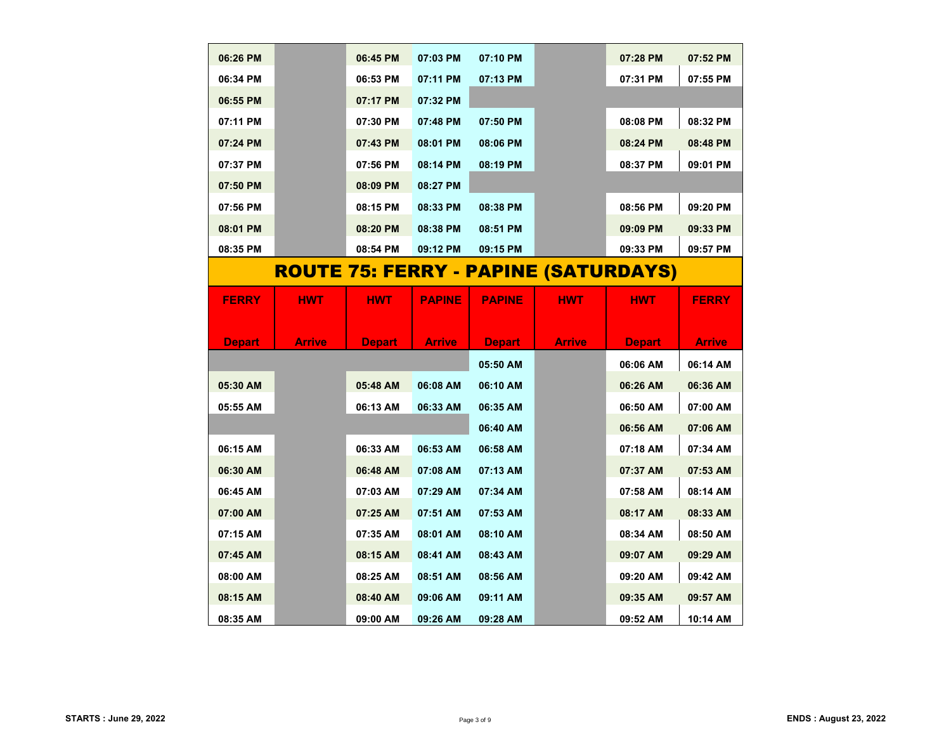| 06:26 PM      |               | 06:45 PM      | 07:03 PM      | 07:10 PM      |                                             | 07:28 PM      | 07:52 PM      |
|---------------|---------------|---------------|---------------|---------------|---------------------------------------------|---------------|---------------|
| 06:34 PM      |               | 06:53 PM      | 07:11 PM      | 07:13 PM      |                                             | 07:31 PM      | 07:55 PM      |
| 06:55 PM      |               | 07:17 PM      | 07:32 PM      |               |                                             |               |               |
| 07:11 PM      |               | 07:30 PM      | 07:48 PM      | 07:50 PM      |                                             | 08:08 PM      | 08:32 PM      |
| 07:24 PM      |               | 07:43 PM      | 08:01 PM      | 08:06 PM      |                                             | 08:24 PM      | 08:48 PM      |
| 07:37 PM      |               | 07:56 PM      | 08:14 PM      | 08:19 PM      |                                             | 08:37 PM      | 09:01 PM      |
| 07:50 PM      |               | 08:09 PM      | 08:27 PM      |               |                                             |               |               |
| 07:56 PM      |               | 08:15 PM      | 08:33 PM      | 08:38 PM      |                                             | 08:56 PM      | 09:20 PM      |
| 08:01 PM      |               | 08:20 PM      | 08:38 PM      | 08:51 PM      |                                             | 09:09 PM      | 09:33 PM      |
| 08:35 PM      |               | 08:54 PM      | 09:12 PM      | 09:15 PM      |                                             | 09:33 PM      | 09:57 PM      |
|               |               |               |               |               | <u>ROUTE 75: FERRY - PAPINE (SATURDAYS)</u> |               |               |
|               |               |               |               |               |                                             |               |               |
| <b>FERRY</b>  | <b>HWT</b>    | <b>HWT</b>    | <b>PAPINE</b> | <b>PAPINE</b> | HWT                                         | HWT           | <b>FERRY</b>  |
|               |               |               |               |               |                                             |               |               |
|               |               |               |               |               |                                             |               |               |
| <b>Depart</b> | <b>Arrive</b> | <b>Depart</b> | <b>Arrive</b> | <b>Depart</b> | <b>Arrive</b>                               | <b>Depart</b> | <b>Arrive</b> |
|               |               |               |               | 05:50 AM      |                                             | 06:06 AM      | 06:14 AM      |
| 05:30 AM      |               | 05:48 AM      | 06:08 AM      | 06:10 AM      |                                             | 06:26 AM      | 06:36 AM      |
| 05:55 AM      |               | 06:13 AM      | 06:33 AM      | 06:35 AM      |                                             | 06:50 AM      | 07:00 AM      |
|               |               |               |               | 06:40 AM      |                                             | 06:56 AM      | 07:06 AM      |
| 06:15 AM      |               | 06:33 AM      | 06:53 AM      | 06:58 AM      |                                             | 07:18 AM      | 07:34 AM      |
| 06:30 AM      |               | 06:48 AM      | 07:08 AM      | 07:13 AM      |                                             | 07:37 AM      | 07:53 AM      |
| 06:45 AM      |               | 07:03 AM      | 07:29 AM      | 07:34 AM      |                                             | 07:58 AM      | 08:14 AM      |
| 07:00 AM      |               | 07:25 AM      | 07:51 AM      | 07:53 AM      |                                             | 08:17 AM      | 08:33 AM      |
| 07:15 AM      |               | 07:35 AM      | 08:01 AM      | 08:10 AM      |                                             | 08:34 AM      | 08:50 AM      |
| 07:45 AM      |               | 08:15 AM      | 08:41 AM      | 08:43 AM      |                                             | 09:07 AM      | 09:29 AM      |
| 08:00 AM      |               | 08:25 AM      | 08:51 AM      | 08:56 AM      |                                             | 09:20 AM      | 09:42 AM      |
| 08:15 AM      |               | 08:40 AM      | 09:06 AM      | 09:11 AM      |                                             | 09:35 AM      | 09:57 AM      |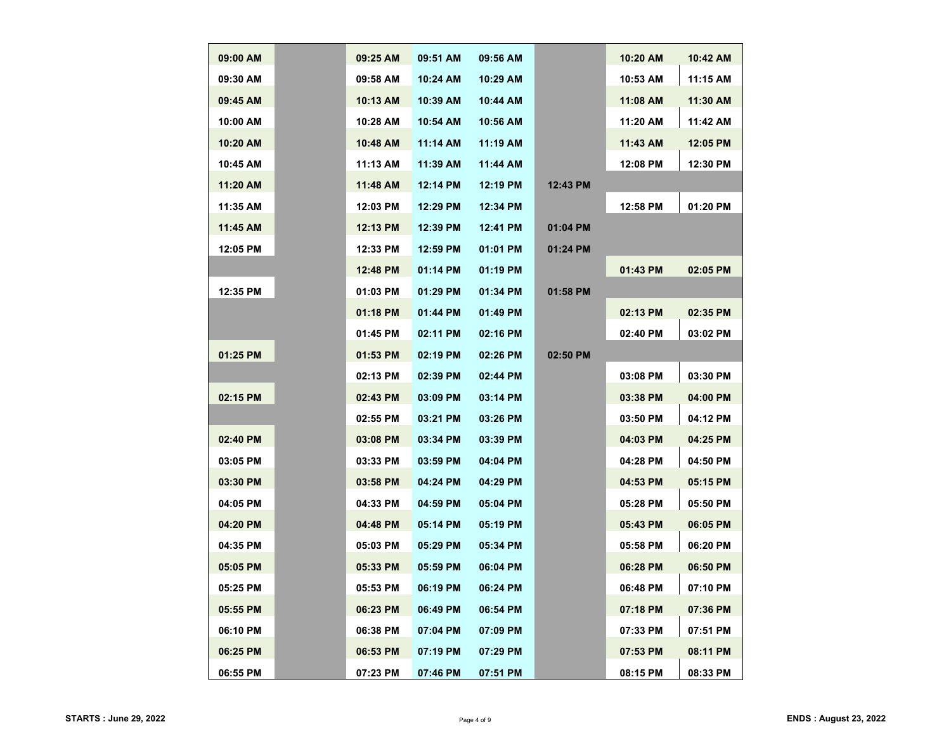| 09:00 AM | 09:25 AM   | 09:51 AM   | 09:56 AM   |          | 10:20 AM | 10:42 AM |
|----------|------------|------------|------------|----------|----------|----------|
| 09:30 AM | 09:58 AM   | 10:24 AM   | 10:29 AM   |          | 10:53 AM | 11:15 AM |
| 09:45 AM | $10:13$ AM | 10:39 AM   | 10:44 AM   |          | 11:08 AM | 11:30 AM |
| 10:00 AM | 10:28 AM   | 10:54 AM   | 10:56 AM   |          | 11:20 AM | 11:42 AM |
| 10:20 AM | 10:48 AM   | 11:14 AM   | 11:19 AM   |          | 11:43 AM | 12:05 PM |
| 10:45 AM | 11:13 AM   | 11:39 AM   | 11:44 AM   |          | 12:08 PM | 12:30 PM |
| 11:20 AM | 11:48 AM   | 12:14 PM   | 12:19 PM   | 12:43 PM |          |          |
| 11:35 AM | 12:03 PM   | 12:29 PM   | 12:34 PM   |          | 12:58 PM | 01:20 PM |
| 11:45 AM | 12:13 PM   | 12:39 PM   | 12:41 PM   | 01:04 PM |          |          |
| 12:05 PM | 12:33 PM   | 12:59 PM   | 01:01 PM   | 01:24 PM |          |          |
|          | 12:48 PM   | 01:14 PM   | 01:19 PM   |          | 01:43 PM | 02:05 PM |
| 12:35 PM | 01:03 PM   | $01:29$ PM | 01:34 PM   | 01:58 PM |          |          |
|          | $01:18$ PM | 01:44 PM   | $01:49$ PM |          | 02:13 PM | 02:35 PM |
|          | 01:45 PM   | 02:11 PM   | 02:16 PM   |          | 02:40 PM | 03:02 PM |
| 01:25 PM | $01:53$ PM | 02:19 PM   | 02:26 PM   | 02:50 PM |          |          |
|          | 02:13 PM   | 02:39 PM   | 02:44 PM   |          | 03:08 PM | 03:30 PM |
| 02:15 PM | 02:43 PM   | 03:09 PM   | 03:14 PM   |          | 03:38 PM | 04:00 PM |
|          | 02:55 PM   | 03:21 PM   | 03:26 PM   |          | 03:50 PM | 04:12 PM |
| 02:40 PM | 03:08 PM   | 03:34 PM   | 03:39 PM   |          | 04:03 PM | 04:25 PM |
| 03:05 PM | 03:33 PM   | 03:59 PM   | 04:04 PM   |          | 04:28 PM | 04:50 PM |
| 03:30 PM | 03:58 PM   | 04:24 PM   | 04:29 PM   |          | 04:53 PM | 05:15 PM |
| 04:05 PM | 04:33 PM   | 04:59 PM   | 05:04 PM   |          | 05:28 PM | 05:50 PM |
| 04:20 PM | 04:48 PM   | 05:14 PM   | 05:19 PM   |          | 05:43 PM | 06:05 PM |
| 04:35 PM | 05:03 PM   | 05:29 PM   | 05:34 PM   |          | 05:58 PM | 06:20 PM |
| 05:05 PM | 05:33 PM   | 05:59 PM   | 06:04 PM   |          | 06:28 PM | 06:50 PM |
| 05:25 PM | 05:53 PM   | 06:19 PM   | 06:24 PM   |          | 06:48 PM | 07:10 PM |
| 05:55 PM | 06:23 PM   | 06:49 PM   | 06:54 PM   |          | 07:18 PM | 07:36 PM |
| 06:10 PM | 06:38 PM   | 07:04 PM   | 07:09 PM   |          | 07:33 PM | 07:51 PM |
| 06:25 PM | 06:53 PM   | 07:19 PM   | 07:29 PM   |          | 07:53 PM | 08:11 PM |
| 06:55 PM | 07:23 PM   | 07:46 PM   | 07:51 PM   |          | 08:15 PM | 08:33 PM |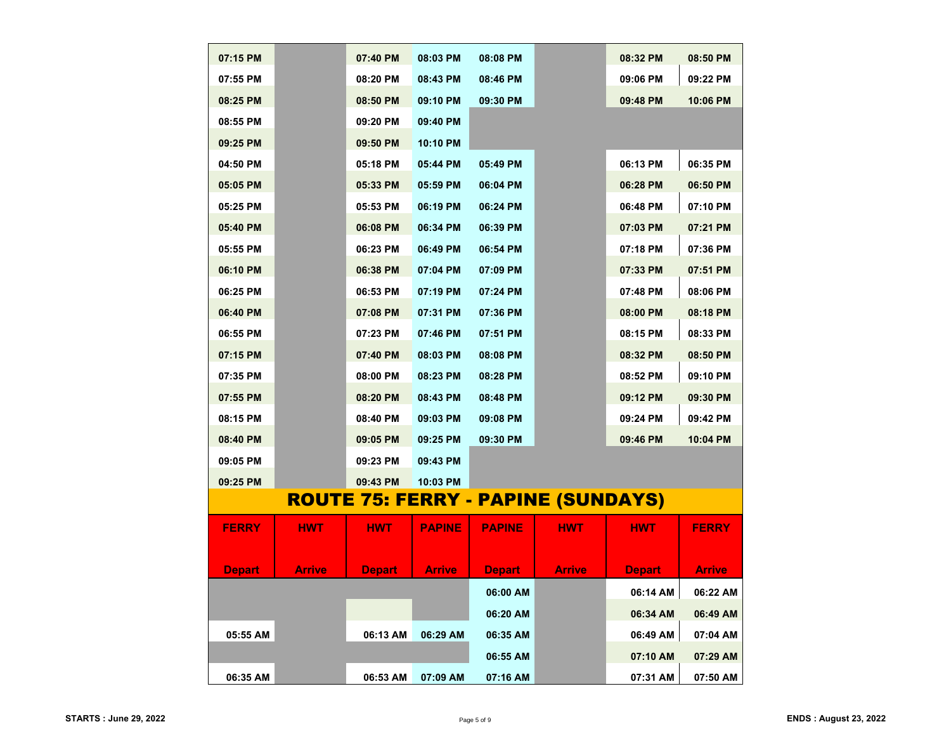| 07:15 PM      |               | 07:40 PM      | 08:03 PM      | 08:08 PM      |                                           | 08:32 PM      | 08:50 PM      |
|---------------|---------------|---------------|---------------|---------------|-------------------------------------------|---------------|---------------|
| 07:55 PM      |               | 08:20 PM      | 08:43 PM      | 08:46 PM      |                                           | 09:06 PM      | 09:22 PM      |
| 08:25 PM      |               | 08:50 PM      | 09:10 PM      | 09:30 PM      |                                           | 09:48 PM      | 10:06 PM      |
| 08:55 PM      |               | 09:20 PM      | 09:40 PM      |               |                                           |               |               |
| 09:25 PM      |               | 09:50 PM      | 10:10 PM      |               |                                           |               |               |
| 04:50 PM      |               | 05:18 PM      | 05:44 PM      | 05:49 PM      |                                           | 06:13 PM      | 06:35 PM      |
| 05:05 PM      |               | 05:33 PM      | 05:59 PM      | 06:04 PM      |                                           | 06:28 PM      | 06:50 PM      |
| 05:25 PM      |               | 05:53 PM      | 06:19 PM      | 06:24 PM      |                                           | 06:48 PM      | 07:10 PM      |
| 05:40 PM      |               | 06:08 PM      | 06:34 PM      | 06:39 PM      |                                           | 07:03 PM      | 07:21 PM      |
| 05:55 PM      |               | 06:23 PM      | 06:49 PM      | 06:54 PM      |                                           | 07:18 PM      | 07:36 PM      |
| 06:10 PM      |               | 06:38 PM      | 07:04 PM      | 07:09 PM      |                                           | 07:33 PM      | 07:51 PM      |
| 06:25 PM      |               | 06:53 PM      | 07:19 PM      | 07:24 PM      |                                           | 07:48 PM      | 08:06 PM      |
| 06:40 PM      |               | 07:08 PM      | 07:31 PM      | 07:36 PM      |                                           | 08:00 PM      | 08:18 PM      |
| 06:55 PM      |               | 07:23 PM      | 07:46 PM      | 07:51 PM      |                                           | 08:15 PM      | 08:33 PM      |
| 07:15 PM      |               | 07:40 PM      | 08:03 PM      | 08:08 PM      |                                           | 08:32 PM      | 08:50 PM      |
| 07:35 PM      |               | 08:00 PM      | 08:23 PM      | 08:28 PM      |                                           | 08:52 PM      | 09:10 PM      |
| 07:55 PM      |               | 08:20 PM      | 08:43 PM      | 08:48 PM      |                                           | 09:12 PM      | 09:30 PM      |
| 08:15 PM      |               | 08:40 PM      | 09:03 PM      | 09:08 PM      |                                           | 09:24 PM      | 09:42 PM      |
| 08:40 PM      |               | 09:05 PM      | 09:25 PM      | 09:30 PM      |                                           | 09:46 PM      | 10:04 PM      |
| 09:05 PM      |               | 09:23 PM      | 09:43 PM      |               |                                           |               |               |
| 09:25 PM      |               | 09:43 PM      | 10:03 PM      |               |                                           |               |               |
|               |               |               |               |               | <u>ROUTE 75: FERRY - PAPINE (SUNDAYS)</u> |               |               |
|               |               |               |               |               |                                           |               |               |
| <b>FERRY</b>  | <b>HWT</b>    | <b>HWT</b>    | <b>PAPINE</b> | <b>PAPINE</b> | <b>HWT</b>                                | <b>HWT</b>    | <b>FERRY</b>  |
|               |               |               |               |               |                                           |               |               |
| <b>Depart</b> | <b>Arrive</b> | <b>Depart</b> | <b>Arrive</b> | <b>Depart</b> | <b>Arrive</b>                             | <b>Depart</b> | <b>Arrive</b> |
|               |               |               |               | 06:00 AM      |                                           | 06:14 AM      | 06:22 AM      |
|               |               |               |               | 06:20 AM      |                                           | 06:34 AM      | 06:49 AM      |
| 05:55 AM      |               | 06:13 AM      | 06:29 AM      | 06:35 AM      |                                           | 06:49 AM      | 07:04 AM      |
|               |               |               |               | 06:55 AM      |                                           | 07:10 AM      | 07:29 AM      |
| 06:35 AM      |               | 06:53 AM      | 07:09 AM      | 07:16 AM      |                                           | 07:31 AM      | 07:50 AM      |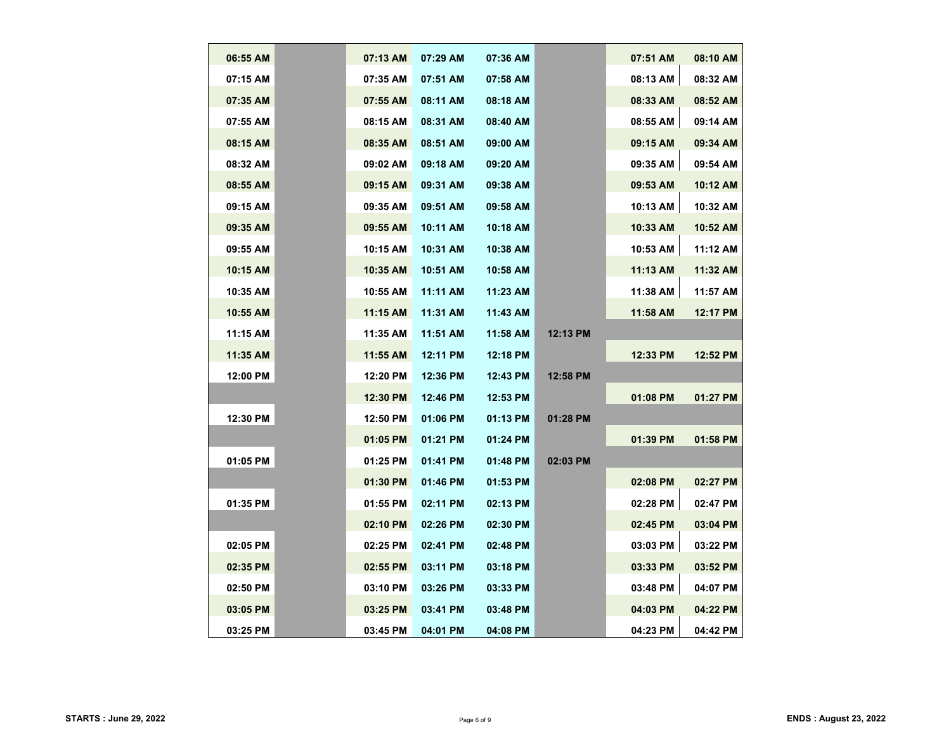| 06:55 AM   | 07:13 AM | 07:29 AM | 07:36 AM |            | 07:51 AM   | 08:10 AM |
|------------|----------|----------|----------|------------|------------|----------|
| 07:15 AM   | 07:35 AM | 07:51 AM | 07:58 AM |            | 08:13 AM   | 08:32 AM |
| 07:35 AM   | 07:55 AM | 08:11 AM | 08:18 AM |            | 08:33 AM   | 08:52 AM |
| 07:55 AM   | 08:15 AM | 08:31 AM | 08:40 AM |            | 08:55 AM   | 09:14 AM |
| 08:15 AM   | 08:35 AM | 08:51 AM | 09:00 AM |            | 09:15 AM   | 09:34 AM |
| 08:32 AM   | 09:02 AM | 09:18 AM | 09:20 AM |            | 09:35 AM   | 09:54 AM |
| 08:55 AM   | 09:15 AM | 09:31 AM | 09:38 AM |            | 09:53 AM   | 10:12 AM |
| 09:15 AM   | 09:35 AM | 09:51 AM | 09:58 AM |            | 10:13 AM   | 10:32 AM |
| 09:35 AM   | 09:55 AM | 10:11 AM | 10:18 AM |            | 10:33 AM   | 10:52 AM |
| 09:55 AM   | 10:15 AM | 10:31 AM | 10:38 AM |            | 10:53 AM   | 11:12 AM |
| 10:15 AM   | 10:35 AM | 10:51 AM | 10:58 AM |            | 11:13 AM   | 11:32 AM |
| 10:35 AM   | 10:55 AM | 11:11 AM | 11:23 AM |            | 11:38 AM   | 11:57 AM |
| $10:55$ AM | 11:15 AM | 11:31 AM | 11:43 AM |            | $11:58$ AM | 12:17 PM |
| 11:15 AM   | 11:35 AM | 11:51 AM | 11:58 AM | 12:13 PM   |            |          |
| 11:35 AM   | 11:55 AM | 12:11 PM | 12:18 PM |            | 12:33 PM   | 12:52 PM |
| 12:00 PM   | 12:20 PM | 12:36 PM | 12:43 PM | $12:58$ PM |            |          |
|            | 12:30 PM | 12:46 PM | 12:53 PM |            | 01:08 PM   | 01:27 PM |
| 12:30 PM   | 12:50 PM | 01:06 PM | 01:13 PM | 01:28 PM   |            |          |
|            | 01:05 PM | 01:21 PM | 01:24 PM |            | 01:39 PM   | 01:58 PM |
| 01:05 PM   | 01:25 PM | 01:41 PM | 01:48 PM | 02:03 PM   |            |          |
|            | 01:30 PM | 01:46 PM | 01:53 PM |            | 02:08 PM   | 02:27 PM |
| 01:35 PM   | 01:55 PM | 02:11 PM | 02:13 PM |            | 02:28 PM   | 02:47 PM |
|            | 02:10 PM | 02:26 PM | 02:30 PM |            | 02:45 PM   | 03:04 PM |
| 02:05 PM   | 02:25 PM | 02:41 PM | 02:48 PM |            | 03:03 PM   | 03:22 PM |
| 02:35 PM   | 02:55 PM | 03:11 PM | 03:18 PM |            | 03:33 PM   | 03:52 PM |
| 02:50 PM   | 03:10 PM | 03:26 PM | 03:33 PM |            | 03:48 PM   | 04:07 PM |
| 03:05 PM   | 03:25 PM | 03:41 PM | 03:48 PM |            | 04:03 PM   | 04:22 PM |
| 03:25 PM   | 03:45 PM | 04:01 PM | 04:08 PM |            | 04:23 PM   | 04:42 PM |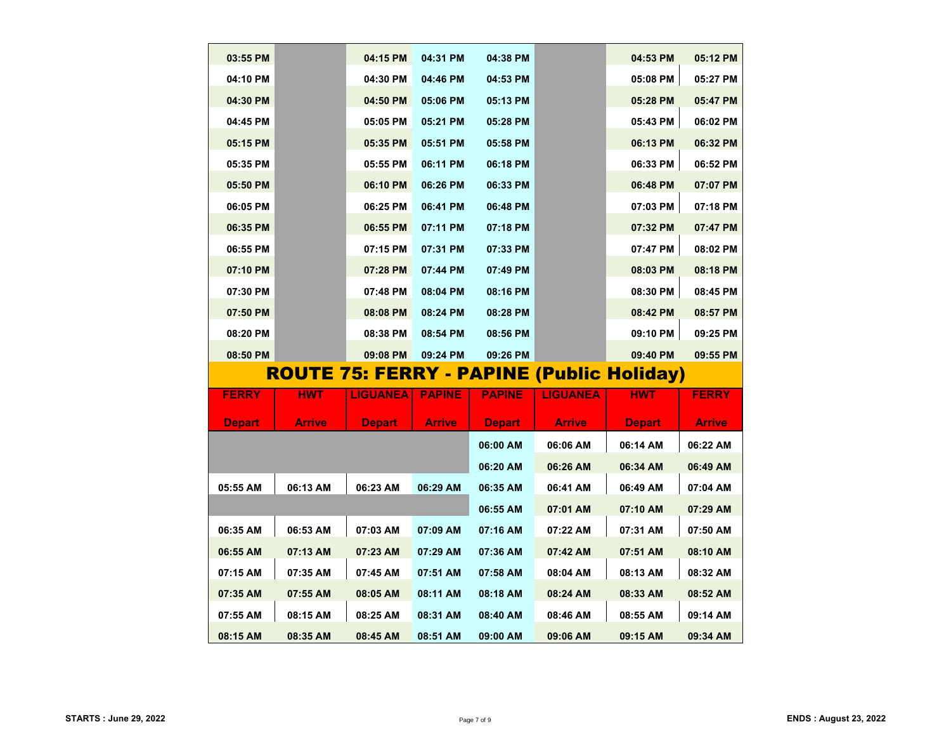| 03:55 PM      |          | 04:15 PM        | 04:31 PM      | 04:38 PM      |                 | 04:53 PM                                         | 05:12 PM     |
|---------------|----------|-----------------|---------------|---------------|-----------------|--------------------------------------------------|--------------|
| 04:10 PM      |          | 04:30 PM        | 04:46 PM      | 04:53 PM      |                 | 05:08 PM                                         | 05:27 PM     |
| 04:30 PM      |          | 04:50 PM        | 05:06 PM      | 05:13 PM      |                 | 05:28 PM                                         | 05:47 PM     |
| 04:45 PM      |          | 05:05 PM        | 05:21 PM      | 05:28 PM      |                 | 05:43 PM                                         | 06:02 PM     |
| 05:15 PM      |          | 05:35 PM        | 05:51 PM      | 05:58 PM      |                 | 06:13 PM                                         | 06:32 PM     |
| 05:35 PM      |          | 05:55 PM        | 06:11 PM      | 06:18 PM      |                 | 06:33 PM                                         | 06:52 PM     |
| 05:50 PM      |          | 06:10 PM        | 06:26 PM      | 06:33 PM      |                 | 06:48 PM                                         | 07:07 PM     |
| 06:05 PM      |          | 06:25 PM        | 06:41 PM      | 06:48 PM      |                 | 07:03 PM                                         | 07:18 PM     |
| 06:35 PM      |          | 06:55 PM        | 07:11 PM      | 07:18 PM      |                 | 07:32 PM                                         | 07:47 PM     |
| 06:55 PM      |          | 07:15 PM        | 07:31 PM      | 07:33 PM      |                 | 07:47 PM                                         | 08:02 PM     |
| 07:10 PM      |          | 07:28 PM        | 07:44 PM      | 07:49 PM      |                 | 08:03 PM                                         | 08:18 PM     |
| 07:30 PM      |          | 07:48 PM        | 08:04 PM      | 08:16 PM      |                 | 08:30 PM                                         | 08:45 PM     |
| 07:50 PM      |          | 08:08 PM        | 08:24 PM      | 08:28 PM      |                 | 08:42 PM                                         | 08:57 PM     |
| 08:20 PM      |          | 08:38 PM        | 08:54 PM      | 08:56 PM      |                 | 09:10 PM                                         | 09:25 PM     |
| 08:50 PM      |          | 09:08 PM        | 09:24 PM      | 09:26 PM      |                 | 09:40 PM                                         | 09:55 PM     |
|               |          |                 |               |               |                 | <b>ROUTE 75: FERRY - PAPINE (Public Holiday)</b> |              |
| <b>FERRY</b>  | HWT      | <b>LIGUANEA</b> | <b>PAPINE</b> | <b>PAPINE</b> | <b>LIGUANEA</b> | HWT                                              | <b>FERRY</b> |
| <b>Depart</b> | Arrive   | <b>Depart</b>   | <b>Arrive</b> | <b>Depart</b> | <b>Arrive</b>   | <b>Depart</b>                                    | Arrive       |
|               |          |                 |               | 06:00 AM      | 06:06 AM        | 06:14 AM                                         | 06:22 AM     |
|               |          |                 |               | 06:20 AM      | 06:26 AM        | 06:34 AM                                         | 06:49 AM     |
| 05:55 AM      | 06:13 AM | 06:23 AM        | 06:29 AM      | 06:35 AM      | 06:41 AM        | 06:49 AM                                         | 07:04 AM     |
|               |          |                 |               |               |                 |                                                  |              |
|               |          |                 |               | 06:55 AM      | 07:01 AM        | 07:10 AM                                         | 07:29 AM     |
| 06:35 AM      | 06:53 AM | 07:03 AM        | 07:09 AM      | 07:16 AM      | 07:22 AM        | 07:31 AM                                         | 07:50 AM     |
| 06:55 AM      | 07:13 AM | 07:23 AM        | 07:29 AM      | 07:36 AM      | 07:42 AM        | 07:51 AM                                         | 08:10 AM     |
| 07:15 AM      | 07:35 AM | 07:45 AM        | 07:51 AM      | 07:58 AM      | 08:04 AM        | 08:13 AM                                         | 08:32 AM     |
| 07:35 AM      | 07:55 AM | 08:05 AM        | 08:11 AM      | 08:18 AM      | 08:24 AM        | 08:33 AM                                         | 08:52 AM     |
| 07:55 AM      | 08:15 AM | 08:25 AM        | 08:31 AM      | 08:40 AM      | 08:46 AM        | 08:55 AM                                         | 09:14 AM     |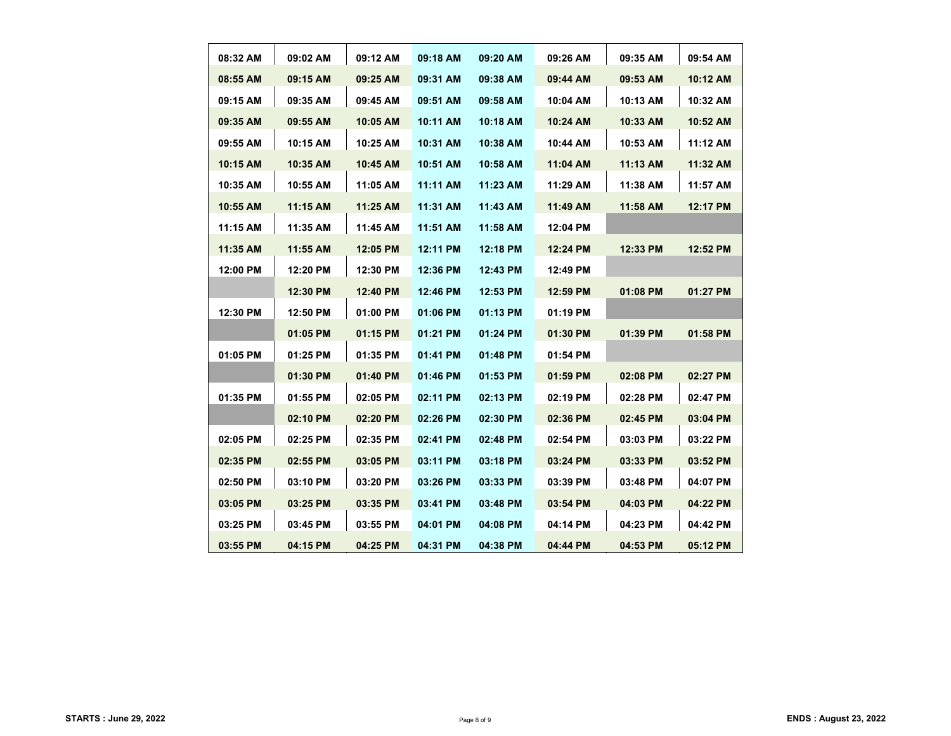| 08:32 AM   | 09:02 AM | 09:12 AM | 09:18 AM   | 09:20 AM | 09:26 AM | 09:35 AM | 09:54 AM   |
|------------|----------|----------|------------|----------|----------|----------|------------|
| 08:55 AM   | 09:15 AM | 09:25 AM | 09:31 AM   | 09:38 AM | 09:44 AM | 09:53 AM | 10:12 AM   |
| 09:15 AM   | 09:35 AM | 09:45 AM | 09:51 AM   | 09:58 AM | 10:04 AM | 10:13 AM | 10:32 AM   |
| 09:35 AM   | 09:55 AM | 10:05 AM | 10:11 AM   | 10:18 AM | 10:24 AM | 10:33 AM | $10:52$ AM |
| 09:55 AM   | 10:15 AM | 10:25 AM | 10:31 AM   | 10:38 AM | 10:44 AM | 10:53 AM | 11:12 AM   |
| 10:15 AM   | 10:35 AM | 10:45 AM | 10:51 AM   | 10:58 AM | 11:04 AM | 11:13 AM | 11:32 AM   |
| 10:35 AM   | 10:55 AM | 11:05 AM | 11:11 AM   | 11:23 AM | 11:29 AM | 11:38 AM | 11:57 AM   |
| $10:55$ AM | 11:15 AM | 11:25 AM | 11:31 AM   | 11:43 AM | 11:49 AM | 11:58 AM | 12:17 PM   |
| 11:15 AM   | 11:35 AM | 11:45 AM | 11:51 AM   | 11:58 AM | 12:04 PM |          |            |
| 11:35 AM   | 11:55 AM | 12:05 PM | 12:11 PM   | 12:18 PM | 12:24 PM | 12:33 PM | 12:52 PM   |
| 12:00 PM   | 12:20 PM | 12:30 PM | 12:36 PM   | 12:43 PM | 12:49 PM |          |            |
|            | 12:30 PM | 12:40 PM | 12:46 PM   | 12:53 PM | 12:59 PM | 01:08 PM | 01:27 PM   |
| 12:30 PM   | 12:50 PM | 01:00 PM | 01:06 PM   | 01:13 PM | 01:19 PM |          |            |
|            | 01:05 PM | 01:15 PM | 01:21 PM   | 01:24 PM | 01:30 PM | 01:39 PM | 01:58 PM   |
| 01:05 PM   | 01:25 PM | 01:35 PM | 01:41 PM   | 01:48 PM | 01:54 PM |          |            |
|            | 01:30 PM | 01:40 PM | $01:46$ PM | 01:53 PM | 01:59 PM | 02:08 PM | 02:27 PM   |
| 01:35 PM   | 01:55 PM | 02:05 PM | 02:11 PM   | 02:13 PM | 02:19 PM | 02:28 PM | 02:47 PM   |
|            | 02:10 PM | 02:20 PM | 02:26 PM   | 02:30 PM | 02:36 PM | 02:45 PM | 03:04 PM   |
| 02:05 PM   | 02:25 PM | 02:35 PM | 02:41 PM   | 02:48 PM | 02:54 PM | 03:03 PM | 03:22 PM   |
| 02:35 PM   | 02:55 PM | 03:05 PM | 03:11 PM   | 03:18 PM | 03:24 PM | 03:33 PM | 03:52 PM   |
| 02:50 PM   | 03:10 PM | 03:20 PM | 03:26 PM   | 03:33 PM | 03:39 PM | 03:48 PM | 04:07 PM   |
| 03:05 PM   | 03:25 PM | 03:35 PM | 03:41 PM   | 03:48 PM | 03:54 PM | 04:03 PM | 04:22 PM   |
| 03:25 PM   | 03:45 PM | 03:55 PM | 04:01 PM   | 04:08 PM | 04:14 PM | 04:23 PM | 04:42 PM   |
| 03:55 PM   | 04:15 PM | 04:25 PM | 04:31 PM   | 04:38 PM | 04:44 PM | 04:53 PM | 05:12 PM   |